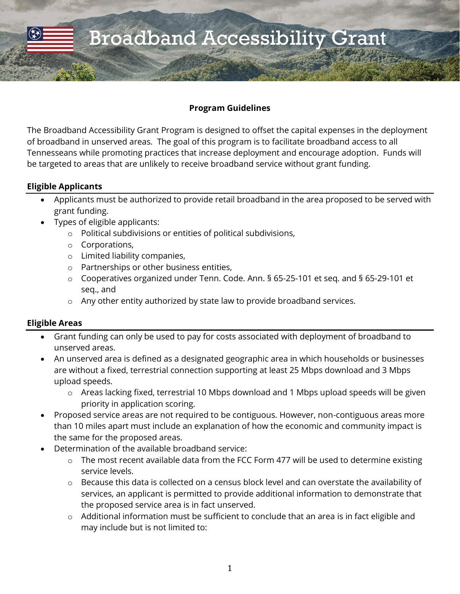#### **Program Guidelines**

The Broadband Accessibility Grant Program is designed to offset the capital expenses in the deployment of broadband in unserved areas. The goal of this program is to facilitate broadband access to all Tennesseans while promoting practices that increase deployment and encourage adoption. Funds will be targeted to areas that are unlikely to receive broadband service without grant funding.

### **Eligible Applicants**

- Applicants must be authorized to provide retail broadband in the area proposed to be served with grant funding.
- Types of eligible applicants:
	- o Political subdivisions or entities of political subdivisions,
	- o Corporations,
	- o Limited liability companies,
	- o Partnerships or other business entities,
	- o Cooperatives organized under Tenn. Code. Ann. § 65-25-101 et seq. and § 65-29-101 et seq., and
	- o Any other entity authorized by state law to provide broadband services.

### **Eligible Areas**

- Grant funding can only be used to pay for costs associated with deployment of broadband to unserved areas.
- An unserved area is defined as a designated geographic area in which households or businesses are without a fixed, terrestrial connection supporting at least 25 Mbps download and 3 Mbps upload speeds.
	- o Areas lacking fixed, terrestrial 10 Mbps download and 1 Mbps upload speeds will be given priority in application scoring.
- Proposed service areas are not required to be contiguous. However, non-contiguous areas more than 10 miles apart must include an explanation of how the economic and community impact is the same for the proposed areas.
- Determination of the available broadband service:
	- o The most recent available data from the FCC Form 477 will be used to determine existing service levels.
	- o Because this data is collected on a census block level and can overstate the availability of services, an applicant is permitted to provide additional information to demonstrate that the proposed service area is in fact unserved.
	- o Additional information must be sufficient to conclude that an area is in fact eligible and may include but is not limited to: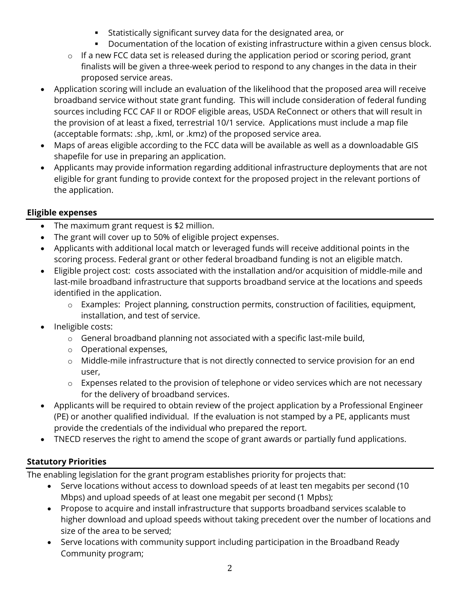- **EXEDENT Statistically significant survey data for the designated area, or**
- **•** Documentation of the location of existing infrastructure within a given census block.
- $\circ$  If a new FCC data set is released during the application period or scoring period, grant finalists will be given a three-week period to respond to any changes in the data in their proposed service areas.
- Application scoring will include an evaluation of the likelihood that the proposed area will receive broadband service without state grant funding. This will include consideration of federal funding sources including FCC CAF II or RDOF eligible areas, USDA ReConnect or others that will result in the provision of at least a fixed, terrestrial 10/1 service. Applications must include a map file (acceptable formats: .shp, .kml, or .kmz) of the proposed service area.
- Maps of areas eligible according to the FCC data will be available as well as a downloadable GIS shapefile for use in preparing an application.
- Applicants may provide information regarding additional infrastructure deployments that are not eligible for grant funding to provide context for the proposed project in the relevant portions of the application.

### **Eligible expenses**

- The maximum grant request is \$2 million.
- The grant will cover up to 50% of eligible project expenses.
- Applicants with additional local match or leveraged funds will receive additional points in the scoring process. Federal grant or other federal broadband funding is not an eligible match.
- Eligible project cost: costs associated with the installation and/or acquisition of middle-mile and last-mile broadband infrastructure that supports broadband service at the locations and speeds identified in the application.
	- o Examples: Project planning, construction permits, construction of facilities, equipment, installation, and test of service.
- Ineligible costs:
	- o General broadband planning not associated with a specific last-mile build,
	- o Operational expenses,
	- o Middle-mile infrastructure that is not directly connected to service provision for an end user,
	- o Expenses related to the provision of telephone or video services which are not necessary for the delivery of broadband services.
- Applicants will be required to obtain review of the project application by a Professional Engineer (PE) or another qualified individual. If the evaluation is not stamped by a PE, applicants must provide the credentials of the individual who prepared the report.
- TNECD reserves the right to amend the scope of grant awards or partially fund applications.

# **Statutory Priorities**

The enabling legislation for the grant program establishes priority for projects that:

- Serve locations without access to download speeds of at least ten megabits per second (10 Mbps) and upload speeds of at least one megabit per second (1 Mpbs);
- Propose to acquire and install infrastructure that supports broadband services scalable to higher download and upload speeds without taking precedent over the number of locations and size of the area to be served;
- Serve locations with community support including participation in the Broadband Ready Community program;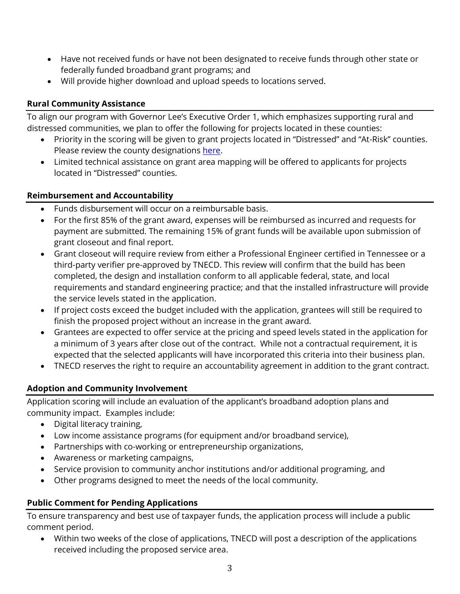- Have not received funds or have not been designated to receive funds through other state or federally funded broadband grant programs; and
- Will provide higher download and upload speeds to locations served.

### **Rural Community Assistance**

To align our program with Governor Lee's Executive Order 1, which emphasizes supporting rural and distressed communities, we plan to offer the following for projects located in these counties:

- Priority in the scoring will be given to grant projects located in "Distressed" and "At-Risk" counties. Please review the county designations [here.](https://www.tn.gov/transparenttn/open-ecd/openecd/tnecd-performance-metrics/openecd-long-term-objectives-quick-stats/distressed-counties.html)
- Limited technical assistance on grant area mapping will be offered to applicants for projects located in "Distressed" counties.

### **Reimbursement and Accountability**

- Funds disbursement will occur on a reimbursable basis.
- For the first 85% of the grant award, expenses will be reimbursed as incurred and requests for payment are submitted. The remaining 15% of grant funds will be available upon submission of grant closeout and final report.
- Grant closeout will require review from either a Professional Engineer certified in Tennessee or a third-party verifier pre-approved by TNECD. This review will confirm that the build has been completed, the design and installation conform to all applicable federal, state, and local requirements and standard engineering practice; and that the installed infrastructure will provide the service levels stated in the application.
- If project costs exceed the budget included with the application, grantees will still be required to finish the proposed project without an increase in the grant award.
- Grantees are expected to offer service at the pricing and speed levels stated in the application for a minimum of 3 years after close out of the contract. While not a contractual requirement, it is expected that the selected applicants will have incorporated this criteria into their business plan.
- TNECD reserves the right to require an accountability agreement in addition to the grant contract.

# **Adoption and Community Involvement**

Application scoring will include an evaluation of the applicant's broadband adoption plans and community impact. Examples include:

- Digital literacy training,
- Low income assistance programs (for equipment and/or broadband service),
- Partnerships with co-working or entrepreneurship organizations,
- Awareness or marketing campaigns,
- Service provision to community anchor institutions and/or additional programing, and
- Other programs designed to meet the needs of the local community.

# **Public Comment for Pending Applications**

To ensure transparency and best use of taxpayer funds, the application process will include a public comment period.

• Within two weeks of the close of applications, TNECD will post a description of the applications received including the proposed service area.